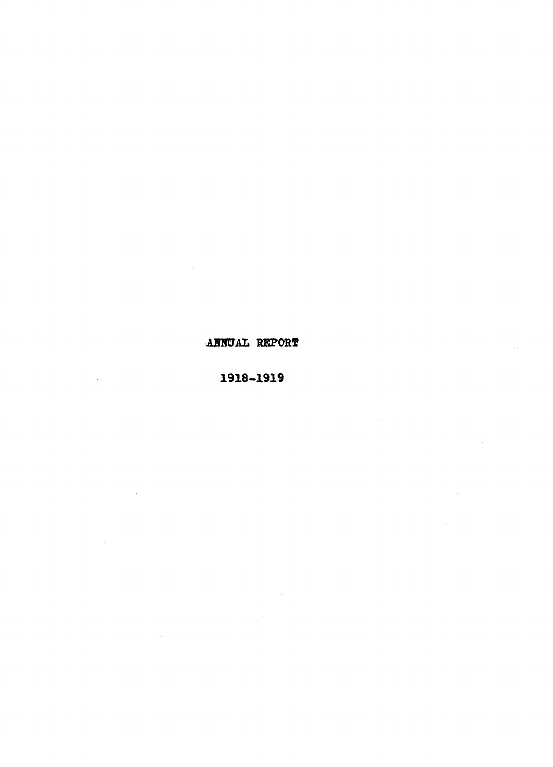## ANNUAL REPORT

## 1918-1919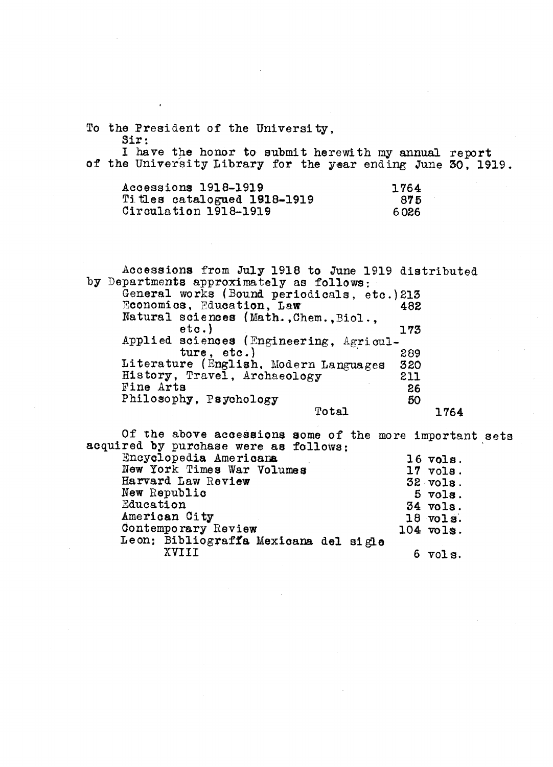To the President of the University, Sir:

I have the honor to submit herewith my annual report of the University Library for the year ending June 30, 1919.

| Accessions 1918–1919        | 1764 |  |
|-----------------------------|------|--|
| Titles catalogued 1918-1919 | 875  |  |
| $Circulation$ 1918–1919     | 6026 |  |

Accessions from July 1918 to June 1919 distributed by Departments approximately as follows: General works (Bound periodicals, etc.)213<br>Economics, Education, Law 482 Economics, Education, Law Natural sciences (Math.,Chem.,Biol.,<br>etc.) 173 etc.) 173 Applied sciences (Engineering, Agriculture, etc.) 289<br>re (English, Modern Languages 320 Literature (English, Modern Languages 320<br>History, Travel, Archaeology 211 History, Travel, Archaeology 211<br>Fine Arts 26 Fine Arts<br>
Philosophy, Psychology<br>
50 Philosophy, Psychology<br>Total 50 1764 Total

Of the above accessions some of the more important sets acquired by purchase were as follows:

| Encyclopedia Americana<br>$16$ vols.        |                    |
|---------------------------------------------|--------------------|
| New York Times War Volumes<br>$17$ $vols$ . |                    |
| Harvard Law Review<br>$32$ vols.            |                    |
| New Republic                                | $5 \text{ volts.}$ |
| Education<br>34 vols.                       |                    |
| American City<br>$18$ vols.                 |                    |
| Contemporary Review<br>$104$ vols.          |                    |
| Leon: Bibliograffa Mexicana del sigle       |                    |
| XVIII                                       | $6$ $vols.$        |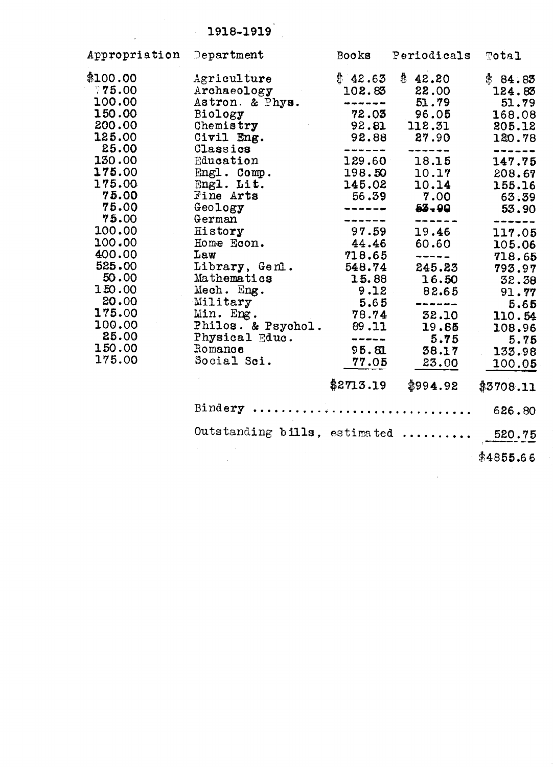# 1918-1919.

 $\mathbb{R}^2$ 

| Appropriation Department |                                      | <b>Books</b>          | Periodicals                       | Total     |
|--------------------------|--------------------------------------|-----------------------|-----------------------------------|-----------|
| \$100.00                 | Agriculture                          | \$42.65               | \$42.20                           | \$84.85   |
| 775.00                   | Archaeology                          | 102.83                | 22.00                             | 124.83    |
| 100.00                   | Astron. & Phys.                      | -------               | 51.79                             | 51.79     |
| 150.00                   | Biology                              | 72.03                 | 96.05                             | 168.08    |
| 200.00                   | Chemistry                            | 92.81                 | 112.31                            | 205.12    |
| 125.00                   | Civil Eng.                           | 92.88                 | 27.90                             | 120.78    |
| 25.00                    | Classics                             | ------                | ------                            | -------   |
| 130.00                   | Education                            | 129.60                | 18.15                             | 147.75    |
| 175.00                   | $Eng 1.$ Comp.                       | 198.50                | 10.17                             | 208.67    |
| 175.00                   | Engl. Lit.                           | 145.02                | 10.14                             | 155.16    |
| 75.00                    | Fine Arts                            | 56.39                 | 7.00                              | 63.39     |
| 75.00                    | Geology                              | -------               | $53 - 90$                         | 53.90     |
| 75.00                    | German                               |                       |                                   |           |
| 100.00                   | History                              | 97.59                 | 19.46                             | 117.05    |
| 100.00                   | Home Econ.                           | 44.46                 | 60.60                             | 105.06    |
| 400.00                   | Law                                  | 718.65                | -----                             | 718.65    |
| 525.00                   | Library, Genl.                       | 548.74                | 245.23                            | 793.97    |
| 50.00                    | Mathematics                          | 15.88                 | 16.50                             | 32.38     |
| 150.00                   | Mech. Eng.                           | 9.12                  | 82.65                             | 91.77     |
| 20.00                    | Military                             | 5.65                  | dank since sings some sings since | 5.65      |
| 175.00                   | Min. Eng.                            | 78.74                 | 32.10                             | 110.54    |
| 100.00                   | Philos. & Psychol.                   | 89.11                 | 19.85                             | 108.96    |
| 25.00                    | Physical Educ.                       | the contract was also | 5.75                              | 5.75      |
| 150.00                   | Romance                              | 95.81                 | 38.17                             | 133.98    |
| 175.00                   | Social Sci.                          | 77.05                 | 23.00                             | 100.05    |
|                          |                                      | \$2713.19             | \$994.92                          | \$3708.11 |
|                          | Bindery  626.80                      |                       |                                   |           |
|                          | Outstanding bills, estimated  520.75 |                       |                                   |           |
|                          |                                      |                       |                                   |           |
|                          |                                      |                       |                                   | \$4855.66 |

 $\hat{\mathcal{A}}$